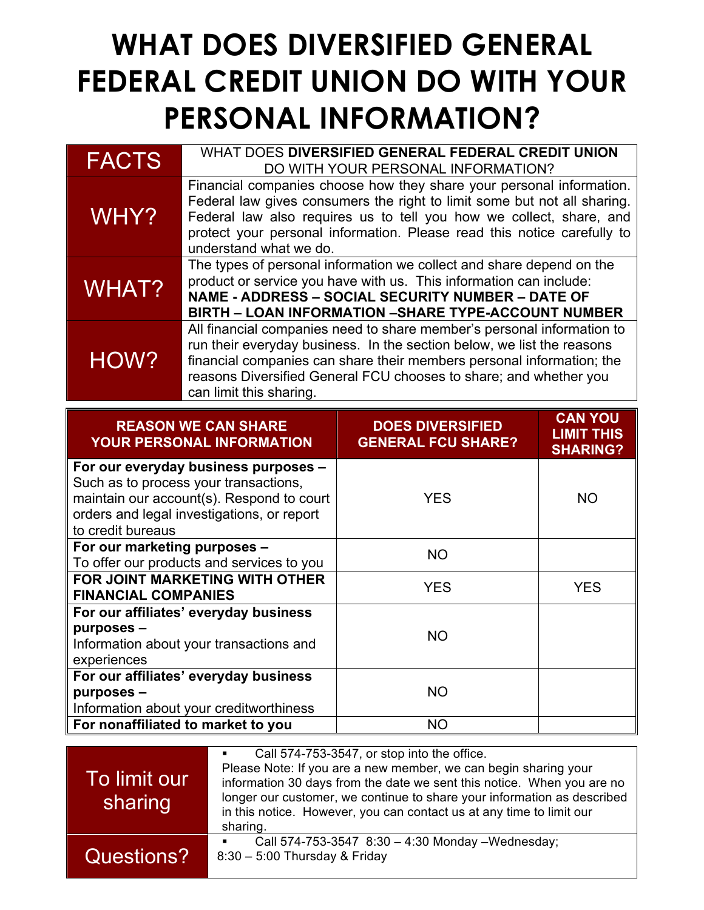## **WHAT DOES DIVERSIFIED GENERAL FEDERAL CREDIT UNION DO WITH YOUR PERSONAL INFORMATION?**

| <b>FACTS</b>                 | WHAT DOES DIVERSIFIED GENERAL FEDERAL CREDIT UNION<br>DO WITH YOUR PERSONAL INFORMATION?                                                                                                                                                                                                                                     |                                                                                                                                                                                                                                                               |                                                        |
|------------------------------|------------------------------------------------------------------------------------------------------------------------------------------------------------------------------------------------------------------------------------------------------------------------------------------------------------------------------|---------------------------------------------------------------------------------------------------------------------------------------------------------------------------------------------------------------------------------------------------------------|--------------------------------------------------------|
| WHY?                         | Financial companies choose how they share your personal information.<br>Federal law gives consumers the right to limit some but not all sharing.<br>Federal law also requires us to tell you how we collect, share, and<br>protect your personal information. Please read this notice carefully to<br>understand what we do. |                                                                                                                                                                                                                                                               |                                                        |
| WHAT?                        |                                                                                                                                                                                                                                                                                                                              | The types of personal information we collect and share depend on the<br>product or service you have with us. This information can include:<br>NAME - ADDRESS - SOCIAL SECURITY NUMBER - DATE OF<br><b>BIRTH – LOAN INFORMATION –SHARE TYPE-ACCOUNT NUMBER</b> |                                                        |
| HOW?                         | All financial companies need to share member's personal information to<br>run their everyday business. In the section below, we list the reasons<br>financial companies can share their members personal information; the<br>reasons Diversified General FCU chooses to share; and whether you<br>can limit this sharing.    |                                                                                                                                                                                                                                                               |                                                        |
|                              |                                                                                                                                                                                                                                                                                                                              |                                                                                                                                                                                                                                                               |                                                        |
|                              | <b>REASON WE CAN SHARE</b><br><b>YOUR PERSONAL INFORMATION</b>                                                                                                                                                                                                                                                               | <b>DOES DIVERSIFIED</b><br><b>GENERAL FCU SHARE?</b>                                                                                                                                                                                                          | <b>CAN YOU</b><br><b>LIMIT THIS</b><br><b>SHARING?</b> |
| to credit bureaus            | For our everyday business purposes -<br>Such as to process your transactions,<br>maintain our account(s). Respond to court<br>orders and legal investigations, or report                                                                                                                                                     | <b>YES</b>                                                                                                                                                                                                                                                    | <b>NO</b>                                              |
| For our marketing purposes - |                                                                                                                                                                                                                                                                                                                              | <b>NO</b>                                                                                                                                                                                                                                                     |                                                        |
| <b>FINANCIAL COMPANIES</b>   | To offer our products and services to you<br><b>FOR JOINT MARKETING WITH OTHER</b>                                                                                                                                                                                                                                           | <b>YES</b>                                                                                                                                                                                                                                                    | <b>YES</b>                                             |

| Information about your transactions and | .         |  |
|-----------------------------------------|-----------|--|
| experiences                             |           |  |
| For our affiliates' everyday business   |           |  |
| purposes –                              | <b>NO</b> |  |
| Information about your creditworthiness |           |  |
| For nonaffiliated to market to you      | <b>NO</b> |  |

|                         | Call 574-753-3547, or stop into the office.                                                                                                                                                                                                                                                              |
|-------------------------|----------------------------------------------------------------------------------------------------------------------------------------------------------------------------------------------------------------------------------------------------------------------------------------------------------|
| To limit our<br>sharing | Please Note: If you are a new member, we can begin sharing your<br>information 30 days from the date we sent this notice. When you are no<br>longer our customer, we continue to share your information as described<br>in this notice. However, you can contact us at any time to limit our<br>sharing. |
| Questions?              | Call 574-753-3547 8:30 - 4:30 Monday - Wednesday;<br>8:30 - 5:00 Thursday & Friday                                                                                                                                                                                                                       |